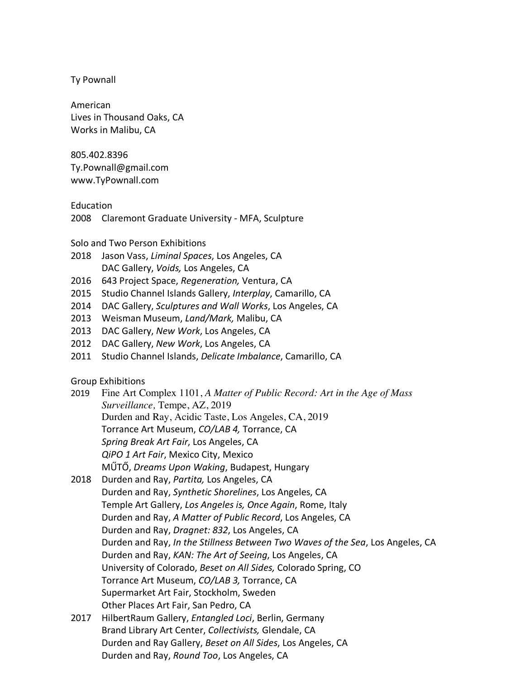Ty Pownall

American Lives in Thousand Oaks, CA Works in Malibu, CA

805.402.8396 Ty.Pownall@gmail.com www.TyPownall.com

Education

2008 Claremont Graduate University - MFA, Sculpture

Solo and Two Person Exhibitions

- 2018 Jason Vass, *Liminal Spaces*, Los Angeles, CA DAC Gallery, *Voids,* Los Angeles, CA
- 2016 643 Project Space, *Regeneration,* Ventura, CA
- 2015 Studio Channel Islands Gallery, *Interplay*, Camarillo, CA
- 2014 DAC Gallery, *Sculptures and Wall Works*, Los Angeles, CA
- 2013 Weisman Museum, *Land/Mark,* Malibu, CA
- 2013 DAC Gallery, *New Work*, Los Angeles, CA
- 2012 DAC Gallery, *New Work*, Los Angeles, CA
- 2011 Studio Channel Islands, *Delicate Imbalance*, Camarillo, CA

Group Exhibitions

- 2019 Fine Art Complex 1101, *A Matter of Public Record: Art in the Age of Mass Surveillance,* Tempe, AZ, 2019 Durden and Ray, Acidic Taste, Los Angeles, CA, 2019 Torrance Art Museum, *CO/LAB 4,* Torrance, CA *Spring Break Art Fair*, Los Angeles, CA *QiPO 1 Art Fair*, Mexico City, Mexico MŰTŐ, *Dreams Upon Waking*, Budapest, Hungary
- 2018 Durden and Ray, *Partita,* Los Angeles, CA Durden and Ray, *Synthetic Shorelines*, Los Angeles, CA Temple Art Gallery, *Los Angeles is, Once Again*, Rome, Italy Durden and Ray, *A Matter of Public Record*, Los Angeles, CA Durden and Ray, *Dragnet: 832*, Los Angeles, CA Durden and Ray, *In the Stillness Between Two Waves of the Sea*, Los Angeles, CA Durden and Ray, *KAN: The Art of Seeing*, Los Angeles, CA University of Colorado, *Beset on All Sides,* Colorado Spring, CO Torrance Art Museum, *CO/LAB 3,* Torrance, CA Supermarket Art Fair, Stockholm, Sweden Other Places Art Fair, San Pedro, CA
- 2017 HilbertRaum Gallery, *Entangled Loci*, Berlin, Germany Brand Library Art Center, *Collectivists,* Glendale, CA Durden and Ray Gallery, *Beset on All Sides*, Los Angeles, CA Durden and Ray, *Round Too*, Los Angeles, CA